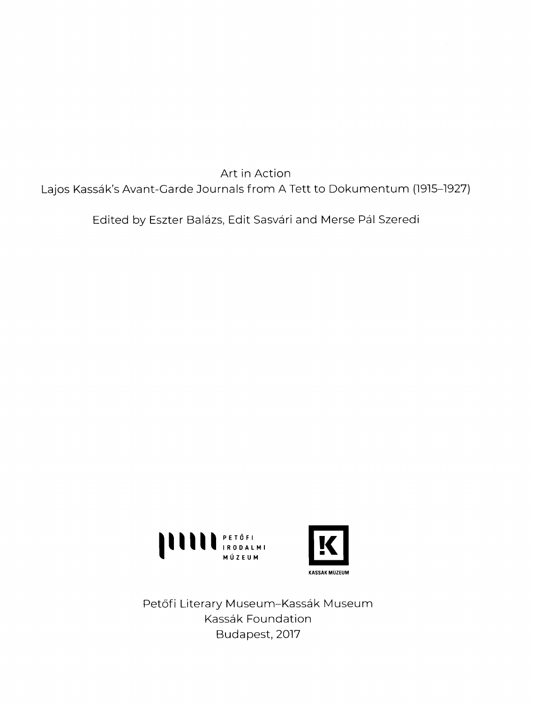Art in Action Lajos Kassák's Avant-Garde Journals from A Tett to Dokumentum (1915-1927)

Edited by Eszter Balázs, Edit Sasvári and Merse Pál Szeredi





Petőfi Literary Museum-Kassák Museum Kassak Foundation Budapest, 2017